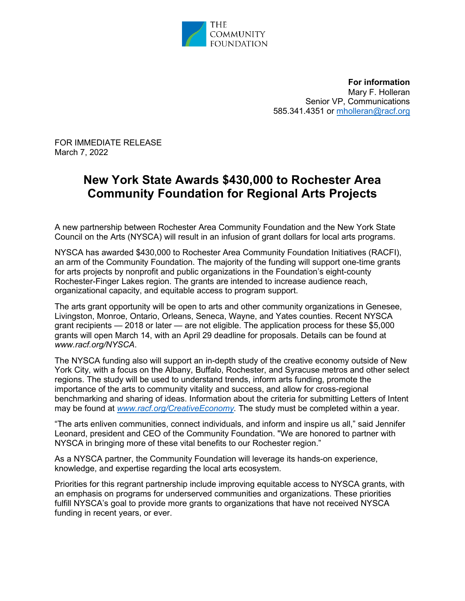

**For information**  Mary F. Holleran Senior VP, Communications 585.341.4351 or [mholleran@racf.org](mailto:mholleran@racf.org)

FOR IMMEDIATE RELEASE March 7, 2022

## **New York State Awards \$430,000 to Rochester Area Community Foundation for Regional Arts Projects**

A new partnership between Rochester Area Community Foundation and the New York State Council on the Arts (NYSCA) will result in an infusion of grant dollars for local arts programs.

NYSCA has awarded \$430,000 to Rochester Area Community Foundation Initiatives (RACFI), an arm of the Community Foundation. The majority of the funding will support one-time grants for arts projects by nonprofit and public organizations in the Foundation's eight-county Rochester-Finger Lakes region. The grants are intended to increase audience reach, organizational capacity, and equitable access to program support.

The arts grant opportunity will be open to arts and other community organizations in Genesee, Livingston, Monroe, Ontario, Orleans, Seneca, Wayne, and Yates counties. Recent NYSCA grant recipients — 2018 or later — are not eligible. The application process for these \$5,000 grants will open March 14, with an April 29 deadline for proposals. Details can be found at *www.racf.org/NYSCA*.

The NYSCA funding also will support an in-depth study of the creative economy outside of New York City, with a focus on the Albany, Buffalo, Rochester, and Syracuse metros and other select regions. The study will be used to understand trends, inform arts funding, promote the importance of the arts to community vitality and success, and allow for cross-regional benchmarking and sharing of ideas. Information about the criteria for submitting Letters of Intent may be found at *[www.racf.org/CreativeEconomy.](http://www.racf.org/CreativeEconomy)* The study must be completed within a year.

"The arts enliven communities, connect individuals, and inform and inspire us all," said Jennifer Leonard, president and CEO of the Community Foundation. "We are honored to partner with NYSCA in bringing more of these vital benefits to our Rochester region."

As a NYSCA partner, the Community Foundation will leverage its hands-on experience, knowledge, and expertise regarding the local arts ecosystem.

Priorities for this regrant partnership include improving equitable access to NYSCA grants, with an emphasis on programs for underserved communities and organizations. These priorities fulfill NYSCA's goal to provide more grants to organizations that have not received NYSCA funding in recent years, or ever.